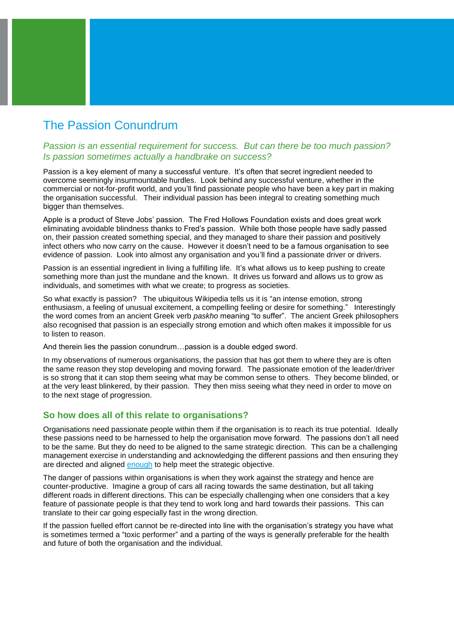# The Passion Conundrum

## *Passion is an essential requirement for success. But can there be too much passion? Is passion sometimes actually a handbrake on success?*

Passion is a key element of many a successful venture. It's often that secret ingredient needed to overcome seemingly insurmountable hurdles. Look behind any successful venture, whether in the commercial or not-for-profit world, and you'll find passionate people who have been a key part in making the organisation successful. Their individual passion has been integral to creating something much bigger than themselves.

Apple is a product of Steve Jobs' passion. The Fred Hollows Foundation exists and does great work eliminating avoidable blindness thanks to Fred's passion. While both those people have sadly passed on, their passion created something special, and they managed to share their passion and positively infect others who now carry on the cause. However it doesn't need to be a famous organisation to see evidence of passion. Look into almost any organisation and you'll find a passionate driver or drivers.

Passion is an essential ingredient in living a fulfilling life. It's what allows us to keep pushing to create something more than just the mundane and the known. It drives us forward and allows us to grow as individuals, and sometimes with what we create; to progress as societies.

So what exactly is passion? The ubiquitous Wikipedia tells us it is "an intense emotion, strong enthusiasm, a feeling of unusual excitement, a compelling feeling or desire for something." Interestingly the word comes from an ancient Greek verb *paskho* meaning "to suffer". The ancient Greek philosophers also recognised that passion is an especially strong emotion and which often makes it impossible for us to listen to reason.

And therein lies the passion conundrum…passion is a double edged sword.

In my observations of numerous organisations, the passion that has got them to where they are is often the same reason they stop developing and moving forward. The passionate emotion of the leader/driver is so strong that it can stop them seeing what may be common sense to others. They become blinded, or at the very least blinkered, by their passion. They then miss seeing what they need in order to move on to the next stage of progression.

## **So how does all of this relate to organisations?**

Organisations need passionate people within them if the organisation is to reach its true potential. Ideally these passions need to be harnessed to help the organisation move forward. The passions don't all need to be the same. But they do need to be aligned to the same strategic direction. This can be a challenging management exercise in understanding and acknowledging the different passions and then ensuring they are directed and aligned enough to help meet the strategic objective.

The danger of passions within organisations is when they work against the strategy and hence are counter-productive. Imagine a group of cars all racing towards the same destination, but all taking different roads in different directions. This can be especially challenging when one considers that a key feature of passionate people is that they tend to work long and hard towards their passions. This can translate to their car going especially fast in the wrong direction.

If the passion fuelled effort cannot be re-directed into line with the organisation's strategy you have what is sometimes termed a "toxic performer" and a parting of the ways is generally preferable for the health and future of both the organisation and the individual.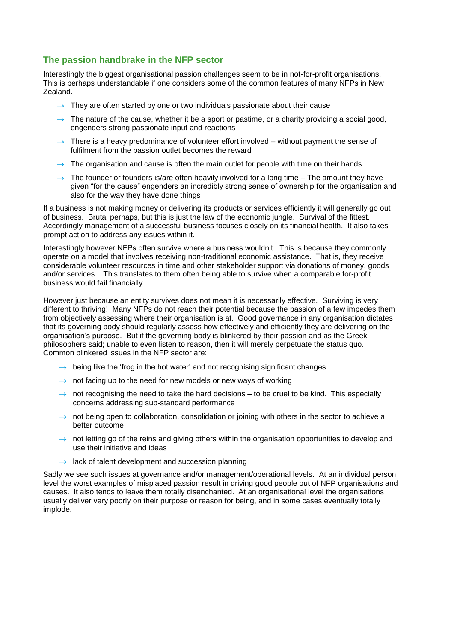## **The passion handbrake in the NFP sector**

Interestingly the biggest organisational passion challenges seem to be in not-for-profit organisations. This is perhaps understandable if one considers some of the common features of many NFPs in New Zealand.

- $\rightarrow$  They are often started by one or two individuals passionate about their cause
- $\rightarrow$  The nature of the cause, whether it be a sport or pastime, or a charity providing a social good, engenders strong passionate input and reactions
- $\rightarrow$  There is a heavy predominance of volunteer effort involved without payment the sense of fulfilment from the passion outlet becomes the reward
- $\rightarrow$  The organisation and cause is often the main outlet for people with time on their hands
- $\rightarrow$  The founder or founders is/are often heavily involved for a long time The amount they have given "for the cause" engenders an incredibly strong sense of ownership for the organisation and also for the way they have done things

If a business is not making money or delivering its products or services efficiently it will generally go out of business. Brutal perhaps, but this is just the law of the economic jungle. Survival of the fittest. Accordingly management of a successful business focuses closely on its financial health. It also takes prompt action to address any issues within it.

Interestingly however NFPs often survive where a business wouldn't. This is because they commonly operate on a model that involves receiving non-traditional economic assistance. That is, they receive considerable volunteer resources in time and other stakeholder support via donations of money, goods and/or services. This translates to them often being able to survive when a comparable for-profit business would fail financially.

However just because an entity survives does not mean it is necessarily effective. Surviving is very different to thriving! Many NFPs do not reach their potential because the passion of a few impedes them from objectively assessing where their organisation is at. Good governance in any organisation dictates that its governing body should regularly assess how effectively and efficiently they are delivering on the organisation's purpose. But if the governing body is blinkered by their passion and as the Greek philosophers said; unable to even listen to reason, then it will merely perpetuate the status quo. Common blinkered issues in the NFP sector are:

- $\rightarrow$  being like the 'frog in the hot water' and not recognising significant changes
- $\rightarrow$  not facing up to the need for new models or new ways of working
- $\rightarrow$  not recognising the need to take the hard decisions to be cruel to be kind. This especially concerns addressing sub-standard performance
- $\rightarrow$  not being open to collaboration, consolidation or joining with others in the sector to achieve a better outcome
- $\rightarrow$  not letting go of the reins and giving others within the organisation opportunities to develop and use their initiative and ideas
- $\rightarrow$  lack of talent development and succession planning

Sadly we see such issues at governance and/or management/operational levels. At an individual person level the worst examples of misplaced passion result in driving good people out of NFP organisations and causes. It also tends to leave them totally disenchanted. At an organisational level the organisations usually deliver very poorly on their purpose or reason for being, and in some cases eventually totally implode.